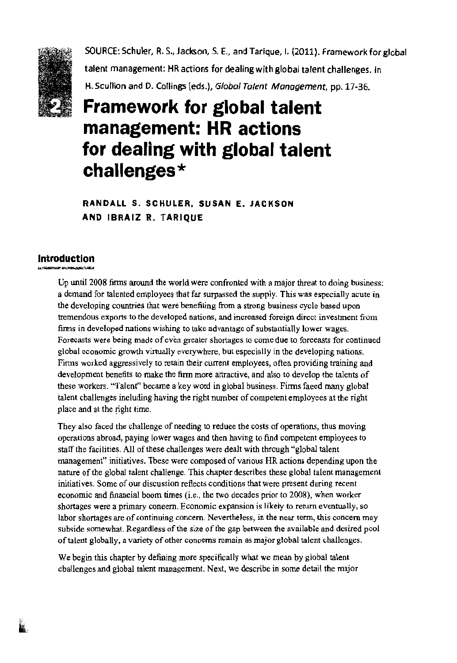

SOURCE: Schuler, R. S., Jackson, S. E., and Tarique, I. (2011). Framework for global talent management: HR actions for dealing with global talent challenges. In H. Scullion and D. Collings (eds.), Global Talent Management. pp. 17-36.

# Framework for global talent management: **HR** actions for dealing with global talent challenges\*

RANDALL S, SCHULER, SUSAN E. JACKSON ANO IBRAIZ R, TARIQUE

# Introduction

Up until 2008 firms around the world were confronted with a major threat to doing business; a demand for talented employees that far surpassed the supply. This was especially acute in the developing countries that were benefiting from a strong business cycle based upon tremendous expons to the developed nations, and increased foreign direct investment from firms in developed nations wishing to take advantage of substantially lower wages. Forecasts were being made of even greater shortages to come due to foreeasts for continued global economic growth virtually everywhere, but especially in the developing nations. Firms worked aggressively to retain their current employees, often providing training and development benefits to make the finn more attractive. and also to develop the talents of these workers. "Talent" became a key word in global business. Firms faeed many global talent cballenges including having the right number of competent employees at the right place and at the right time.

They also faced the challenge of needing to reduce the costs of operations, thus moving operations abroad, paying lower wages and then having to find competent employees to staff the facilities. All of these challenges were dealt with through "global talent management" initiatives. These were composed of various HR actions depending upon the nature of the global talent chalfenge. This chapter describes these global talem management initiatives. Some of our discussion reflects conditions that were present during recent economic and finaneial boom times (i.e., the two decades prior to 2008), when worker shortages were a primary coneern. Economic expansion is likely to return eventually, so labor shortages are of continuing concern. Nevertheless, in the near term, this concern may subside somewhat. Regardless of the size of the gap between the available and desired pool oftalent globally, a variety of other concerns remain as major global talent challenges.

We begin this chapter by defining more specifically what we mean by global talent cballenges and global talent management. Next, we describe in some detail the major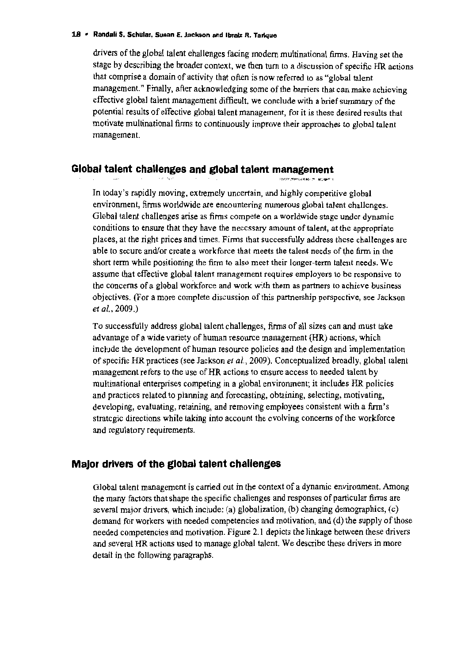#### 18 • Randall S. Schular, Susan E. Jackson and Ibraiz R. Tarique

 $\epsilon$  ,  $\sigma$  ,  $\epsilon_{\rm eq}$  ,

drivers of the global talent ehallenges facing modern multinational firms. Having set the stage by describing the broader context, we then turn to a discussion of specific HR actions that comprise a domain of activity that often is now referred to as "global talent management." Finally, after acknowledging some of the harriers that can make achieving effective global talent management difficult, we conclude with a brief summary of the potential results of effective global talent management. for it is these desired results that motivate multinational firms to contmuously improve their approaches to glohal talent management

**2002年2月11日には新聞の「第一部に連絡」** 

# Global talent challenges and global talent management

In today's rapidly moving. extremely uncertain, and highly comperitive global environment, firms worldwide are encountering numerous global talent challenges. Global talent challenges arise as firms compete on a worldwide stage under dynamic conditions to ensure that they have the necessary amount of talent, at the appropriate places, at the right prices and times. Firms that successfully address these challenges are able to secure and/or create a workforce that meets the talent needs of the firm in the short term while positioning the firm to also meet their longer-term talent needs. We assume that effective global talent management requires employers to be responsive to the concerns of a global workforce and work with them as partners to achieve business objectives. (For a more complete discussion of this partnership perspective, see Jackson *et ai.,* 2009.)

To successfully address global talent challenges, firms of all sizes can and must take advantage of a wide variety of human resource management (HR) actions, which include the development of human resource policies and the design and implementation of specific HR practices (see Jackson *et al.*, 2009). Conceptualized broadly, global talent management refers to the use ofHR actions to ensure access to needed talent by multinational enterprises competing in a global environment; it includes HR policies and practices related to planning and forecasting, obtaining, selecting, motivating, developing, evaluating, retaining, and removing employees consistent with a finn's strategic directions while taking into account the evolving concerns of the workforce and regulatory requirements.

# Major drivers of the global talent challenges

Global talent management is carried out in the context of a dynamic environment. Among the many factors that shape the specific challenges and responses of particular firms are several major drivers, which include: (a) globalization, (b) changing demographics, (c) demand for workers with needed competencies and motivation, and (d) the supply of those needed competencies and motivation. Figure 2.1 depicts the linkage between these drivers and several HR actions used to manage global talent. We describe these drivers in more detail in the following paragraphs.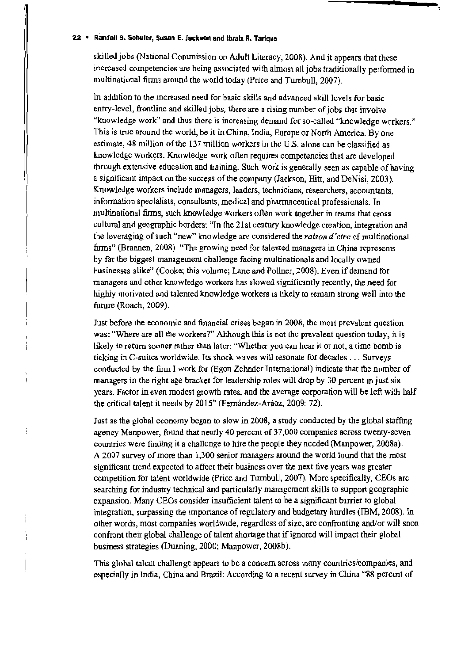#### 22 . Randall S. Schuler, Susan E. Jackson and Ibraiz R. Tarique

i

skilled jobs (National Commission on Adutt Literacy, 2008). And it appears that these increased competencies are being associated with almost all jobs traditionally performed in multinational firms around the world today (Price and Turnbull,  $2007$ ).

In addition to the increased need for basic skills and advanced skill levels for basic entry-level, frontline and skilled jobs, there are a rising number of jobs that involve "knowledge work" and thus there is increasing demand for so-called "knowledge workers." This is true around the world, be it in China. India, Europe or North America. By One estimate, 48 million of the 137 million workers in the U.S. alone can be classified as knowledge workers. Knowledge work often requires competencies that are developed through extensive education and training. Such work is generally seen as capable of having a significant impact on the success of the company (Jackson, Hitt, and DeNisi, 2003). , Knowledge workers include managers, leaders., technicians, researchers, accountants, information specialists, consultants, medical and pharmaceutical professionals. In multinational firms, such knowledge workers often work together in teams that cross cultural and geographic borders: "In the 21st century knowledge creation, integration and the leveraging of sueh "new" knowledge are considered the *raison d'etre* of multinational firms" (Brannen, 2008). "The growing need for talented managers in China represents by far the biggest management challenge facing multinationals and locally owned businesses alike" (Cooke; this volume; Lane and Pollner, 2008). Even if demand for managers and othet knowledge workers has slowed significantly recently, the need for highly motivated and talented knowledge workers is likely to remain strong well into the future (Roach. 2009).

Just before the economic and financial crises began in 2008, the most prevalent question was: "Where are all the workers?" Although this is not the prevalent question today, it is likely to return sooner rather than later: "'Whether you can hear it or not, a time bomb is ticking in C-suites worldwide. Its shock waves will resonate for deeades . . . Surveys eonducted by the firm I work for (Egon Zehnder International) indicate that the number of managers in the rigbt age bracket for leadership roles will drop by 30 percent in just six years. Factor in even modest growth rates, and the average corporation will be left with half the critical talent it needs by 2015" (Fernández-Aráoz, 2009: 72).

Just as the global economy began to slow in 2008, a study conducted by the global staffing agency Manpower, found that nearly 40 percent of37,000 companies across twenry-scven countries were finding it a challenge to hire the people they needed (Manpower, 2008a). A 2007 survey of more than 1,300 senior managers around the world found that the most significant trend expected to affect their business over the next five years was greater competition for talent worldwide (Price and Turnbull, 2007). More specifically, CEOs are searching for industry technical and particularly management skills to support geographic expansion. Many CEOs consider insufficient talent to be a significant barrier to global integration, surpassing the importance ofregulatory and budgetary hurdles {IBM, 2008). Tn other words, most companies worldwide, regardless of size, are confronting and/or will snon confront their global challenge of talent shortage that if ignored will impact their global busmess strategies (Dunning, 2000; Manpower, 2oo8b).

This global talent challenge appears to be a concern across many countries/companies, and especially in India, China and Brazil: According to a recent survey in China "88 percent of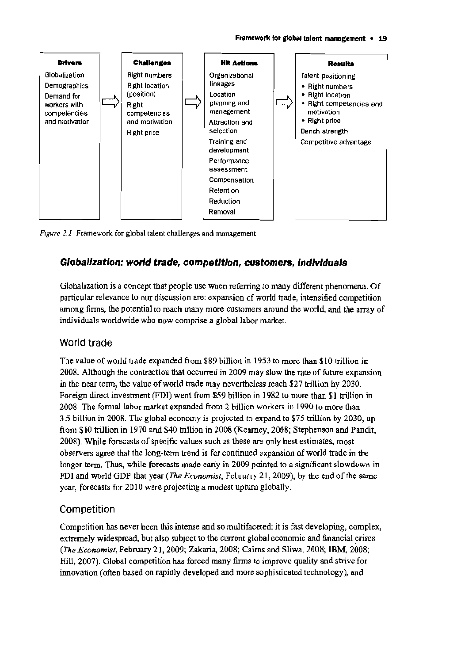Framework for global talent management • 19



Figure 2.1 Framework for global talent challenges and management

# Giobalization: world trade, competition, customers, individuals

Glohalization is a concept that people use when referring to many different phenomena. Of particular relevance to our discussion are: expansion of world trade, intensified competition among firms, the potential to reach many more customers around the world, and the array of individuals worldwide who now comprise a global labor market.

### World trade

The value of world trade expanded from \$89 billion in 1953 to more than \$10 trillion in 2008. Although the contractiou that occurred in 2009 may slow the rate of future expansion in the near term, the value of world trade may nevertheless reach \$27 trillion by 2030. Foreign direct investment (FDI) went from \$59 billion in 1982 to more than \$1 trillion in 2008. The formal labor market expanded from 2 billion workers in 1990 to more than 3.5 billion in 2008. The global economy is projected to expand to \$75 trillion by 2030, up from \$10 trillion in 1970 and \$40 trillion in 2008 (Kearney, 2008; Stephenson and Pandit, 2008). While forecasts of specific values such as these are only best estimates, most observers agree that the long-term trend is for continued expansion of world trade in the longer term. Thus, while forecasts made early in 2009 pointed to a significant slowdown in FDI and world GDP that year (The Economist, February 21, 2009), by the end of the same year, forecasts for 2010 were projecting a modest upturn globally.

# Competition

Competition has never been this intense and so multifaceted: it is fast developing, complex, extremely widespread, but also subject to the current global economic and financial crises (The Economist, February 21, 2009; Zakaria, 2008; Cairns and Sliwa, 2008; IBM, 2008; Hill, 2007). Global competition has forced many firms to improve quality and strive for innovation (often based on rapidly developed and more sophisticated technology), and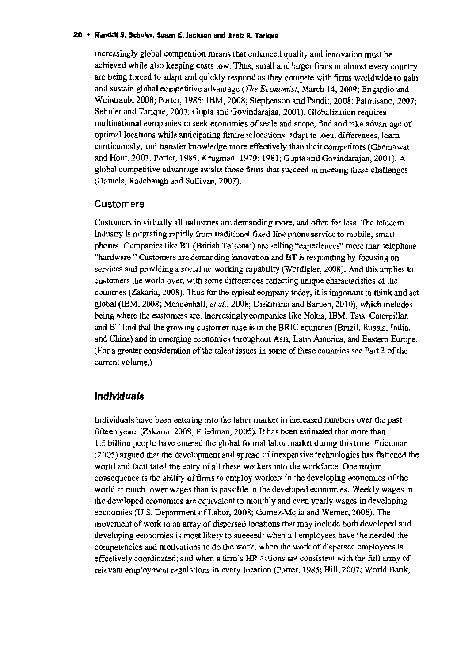#### 20 • Randall S. Schuler, Susan E. Jackson and Ibraiz R. Tarlque

increasingly global competition means that enhanced quality and innovation must be achieved while also keepingeosts low, Thus, small and larger finns in almost every country are being forced to adapt and quickly respond as they compete with firms worldwide to gain and sustain global competitive advantage (The Economist, March 14, 2009; Engardio and Weintraub, 2008; Porter, 1985; IBM, 2008; Stephenson and Pandit, 2008; Palmisano, 2007; Sehuler and Tarique, 2007; Gupta and Govindarajan, 2001). Globalization requires multinational eompanies to seek economies of seale and scope, find and take advantage of optimal loeations while anticipating future relocations, adapt to loeal differences, learn continuously, and transfer knowledge more effectively than their competitors (Ghemawat and Hout, 2007; Porter, 1985; Krugman, 1979; 1981; Gupta and Govindarajan, 2001). A global competitive advantage awaits those finns that succeed in meeting these challenges (Daniels, Radebaugh and Sullivan, 2007).

#### Customers

Cuslomers in virtually all industries arc demanding more, and often for less, The telecom industry is migrating rapidly from traditional fixed-line phone service to mobile, smart phones. Companies like BT (British Telecom) are selling "experiences" more than telephone "hardware." Customers are demanding innovation and BT is responding by focusing on serviees and providing a social networking capability (Werdigier, 2008). And this applies to customers the world over, with some differences reflecting unique eharacteristies of the countries (Zakaria, 2008). Thus for the typieal eompany today, it is important to think and act global (IBM, 2008; Mendenhall, et al., 2008; Diekmann and Barueh, 2010), which ineludes being where the customers are. Increasingly eompanies like Nokia, IBM, Tata, Caterpillar, .and BT find that the growing customer base is in the BRIC eountries (Brazil, Russia, India. and China) and in emerging eeonomies throughout Asia, Latin America, and Eastern Europe. (For a greater consideration of the talent issues in some ofthese emmtries see Part 3 of the current volume.)

#### Individuals

Individuals have been entering into the labor market in increased numbers over the past fifteen years (Zakaria, 2008; Friedman, 2005). It has been estimated that more than 1.5 billion people have entered the global formal labor market during this time. Friedman (2005) argued that the development and spread of inexpensive technologies has flattened the world and facilitated the entry of all these workers into the workforce. One major consequence is the ability of firms to employ workers in the developing economies of the world at much lower wages than is possible in the developed economies. Weekly wages in the developed economies are equivalent to monthly and even yearly wages in developing ecouomies (U.S. Department of Labor, 2008; Gomez-Mejia and Werner, 2008). The movement of work. to an array of dispersed locations that may inelude both developed and developing eeonomies is most likely to sueeeed: when all employees have the needed the competencies and motivations to do the work; when the work of dispersed employees is effeetively coordinated; and when a firm's HR actions are consistent with the full array of relevant employment regulations in every location (Porter, 1985; Hill, 2007; World Bank,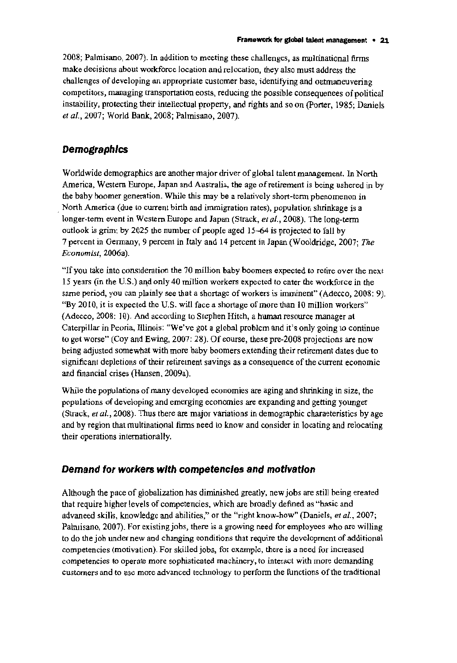2008; Palmisano, 2007). In addition to meeting these challenges, as multinational firms make decisions about workforce location and relocation, they also must address the challenges of developing an appropriate customer base. identifying and outmaneuvering competitors, managing transportation eosts, reducing the possible consequences of political instability, protecting their intellectual property, and rigbts and so on (porter, 1985; Daniels et al., 2007; World Bank, 2008; Palmisano, 2007).

# **Demographics**

Worldwide demographics are another major driver of global talent management. In North America, Western Europe, Japan and Australia, the age of retirement is being ushered in by the baby boomer generation. While this may be a relatively short-term pbenomenon in North America (due to current birth and immigration rates), population shrinkage is a longer-term event in Western Europe and Japan (Strack, *et al.*, 2008). The long-term outlook is grim; by 2025 the number of people aged 15-64 is projected to fall by 7 percent in German}, 9 percent in Ital} and 14 percent in Japan (Wooldridge, 2007; *The &onomlSi,2006a),* 

'·Ifyou take into consideration the IQ milh(m baby boomers expected to retire over the next 15 years (in the U.S.) and only 40 million workers expected to enler the workforce in the same period, you can plainly see that a shortage of workers is imminent" (Adecco, 2008: 9). "By 2010, it is expected the U.S. will face a shortage of more than 10 million workers" (Adecco,2008: 10). And according to Stephen Hitch, a human resource manager at Caterpillar in Peoria, Illinois: "We've got a global problem and it's only going to continue to get worse" (Coy and Ewing, 2007: 28). Of eourse, these pre-2008 projections are now being adjusted somewhat with more baby boomers extending their retirement dates due to significant depletions of their retirement savings as a consequence of the current economic and financial crises (Hansen, 2009a).

While the populations of many developed economies are aging and shrinking in size, the populations of developing and emerging economies are expanding and getting younger (Strack, *et al.*, 2008). Thus there are major variations in demographic charaeteristics by age and by region that multinational firms need to know and consider in locating and relocating their operations internationally.

### Demand for workers with competencies and motivation

Although the paee of globalization has dimmlshed greatly, new Jobs are still being created that require bigher levels of competencies. which are broadly defined as "basic and advanced skills, knowledge and abilities," or the "right know-how" (Daniels, *et al.*, 2007; Palmisano, 2007). For existing jobs, there is a growing need for employees who are willing to do the job under new and changing conditions that require the development of additional competencies (motivation). For skilled jobs, for example, there is a need for increased competencies to operate more sophisticated machinery, to interact with more demanding customers and to use more advanced technology to perform the functions of the traditional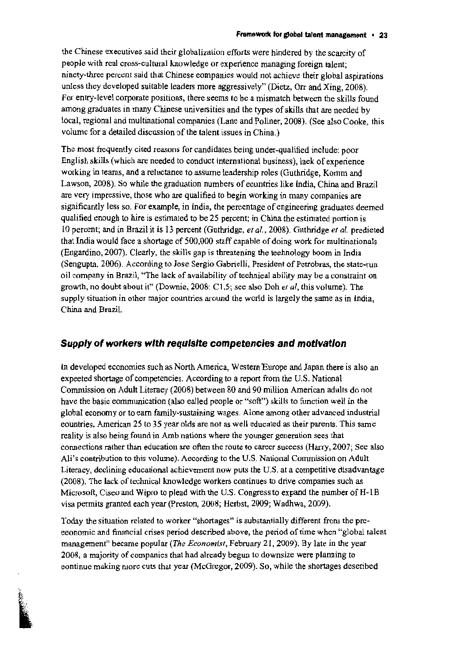the Chinese executives said their globalization efforts were hindered by the scarcity of people with real cross-eultural knowledge or experience managing foreign talent; ninety-three percent said that Chinese eompanies would not achieve their global aspirations unless they developed suitable leaders more aggressively" (Dietz, Orr and Xing, 2008). For entry-level corporate positions, there seems to be a mismatch between the skills found among graduates in many Chinese universities and the types of skills that are needed by local, regional and multinational companies (Lane and Pollner, 2008). (See also Cooke, this volume for a detailed discussion of the talent issues in China.)

The most frequently cited reasons for candidates being under-qualified include: poor English skills (which are needed to conduct international business), laek of experience working in teams, and a reluctanee to assume leadership roles (Guthridge, Komm and Lawson, 2008). So while the graduation numbers of eountries like India, China and Brazil are very impressive, those who are qualified to begin working in many companies are significantly less so. For example, in India, the percentage of engineering graduates deemed qualified enough to hire is estimated to be 25 percent; in China the estimated portion is 10 percent; and in Brazil it is 13 percent (Guthridge, et al., 2008). Guthridge et al. predieted that India would face a shortage of 500,000 staff capable of doing work for multinationals (Engardino, 2007). Clearly, the skills gap is threatening the technology boom in India (Sengupta, 2006). According to Jose Sergio Gabrielli, President of Petrobras, the state-run oil company in Brazil, "The lack of availability of teehnieal ability may be a constraint on growth, no doubt about it" (Downie, 2008: C1,5; see also Doh et al, this volume). The supply situation in other major countries around the world is largely the same as in India, China and Brazil.

#### Supply of workers with requisite competencies and motivation

In developed economies such as North America, Western Europe and Japan there is also an expected shortage of competencies. According to a report from the U.S. National Commission on Adult Literaey (2008) between 80 and 90 million American adults do not have the basic communication (also ealled people or "soft") skills to function well in the global economy or to earn family-sustaining wages. Alone among other advanced industrial eountries, American 25 to 35 year olds are not as well educated as their parents. This same reality is also being found in Amb nations where the younger generation sees that connections rather than education are often the route to career success (Harry, 2007; See also Ali's contribution to this volume). According to the U.S. National Commission on Adult Literacy, declining educational achievement now puts the U.S. at a competitive disadvantage (2008). The lack of technical knowledge workers continues to drive companies such as Microsoft, Ciseo and Wipro to plead with the U.S. Congress to expand the number of H-1B visa permits granted each year (Preston, 2008; Herbst, 2009; Wadhwa, 2009).

Today the situation related to worker "shortages" is substantially different from the preeeonomic and financial crises period described above, the period of time when "global talent" management" became popular (The Economist, February 21, 2009). By late in the year 2008, a majority of companies that had already begun to downsize were planning to eontinue making niore cuts that year (McGregor, 2009). So, while the shortages deseribed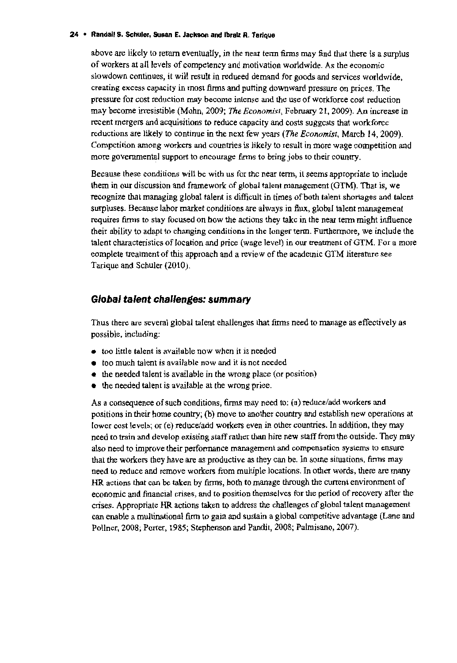#### 24 • Randall S. Schuler, Susan E. Jackson and Ibralz R. Tarique

above are likely to return eventually, in the near term firms may find that there is a surplus of workers at all levels of competency and motivation worldwide. As the economic slowdown continues, it will result in reduced demand for goods and services worldwide. creating excess capacity in most finns and putting downward pressure on prices. The pressure for cost reduction may become intense and the use of workforce cost reduction may become irresistible (Mohn, 2009; *The Economist*, February 21, 2009). An increase in recent mergers and acquisitions to reduce capacity and costs suggests that workforce reductions are likely to continue in the next few years *(The Economist,* Marcb 14, 2009). Competition among workers and countries is likely to result in more wage competition and more governmental support to encourage firms to bring jobs to their country.

Because these conditions will be with us for the near term, it seems appropriate to include them in our discussion and framework of global talent management (GTM). That is, we recognize that managing global talent is difficult in times of both talent shortages and talent surpluses. Because labor market conditions are always in flux, global talent management requires firms to stay focused on bow the actions they take in the near term might influence their ability 10 adapt to changing conditions in the longer term. Furthermore, we include the talent characteristics of location and price (wage level) in our treatment ofGTM. For a more eomplete treatment of this approach and a review of the academic GTM literature see Tarique and Schuler (2010).

#### Global talent challenges: summary

Thus there are several global talent challenges that firms need to manage as effectively as possible, including:

- too little talent is available now when it is needed
- too much talent is avallable now and it is not needed
- the needed talent is available in the wrong place (or position)
- the needed talent is available at the wrong price.

As a consequenee of sucb conditions, fums may need to: (3) reduce/add workers and positions in their home country; (b) move to another country and establish new operations at lower cost levels; or (e) reduce/add workers even in other countries. In addition, they may need to train and develop existing staff rather than hire new staff from the outside, They may also need to improve their performance management and compensation systems to ensure that the workers they have are as productive as they can be, In some situations, firms may need to reduce and remove workers from multiple locations. In other words, there are many HR actions that can be taken by firms, both to manage through the current environment of economic and financial crises, and to position themselves for the period of recovery after the crises. Appropriate HR actions taken to address the challenges of global talent management can enable a multinational firm to gain and sustain a global competitive advantage (Lane and Pollner, 2008; Porter, 1985; Stephenson and Pandit, 2008; Palmisano, 2007).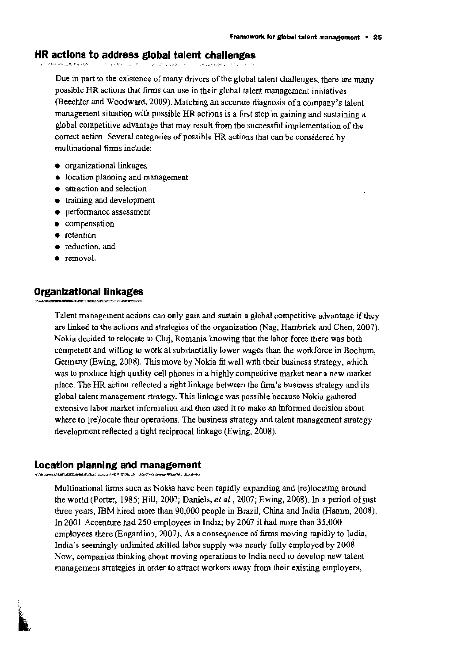# HR actions to address global talent challenges

 $\cdot$   $\cdot$   $\cdot$   $\cdot$   $\cdot$   $\cdot$   $\cdot$ and court

Due in part to the existence of many drivers of the global talent challeuges, there are many possible HR actions that firms can use in their global talent management initiatives (Beechler and Woodward, 2009). Matching an accurate diagnosis of a company's talent management situation with possible HR actions is a first step in gaining and sustaining a global competitive advantage that may result from the successful implementation of the correct action. Several categories of possible HR actions that can be considered by multinational firms include:

- organizational linkages
- location planning and management
- attraction and selection
- training and development
- performance assessment
- compensation
- **•** retention
- reduction, and
- removal.

#### Organizational linkages

Talent management actions can only gain and sustain a global competitive advantage if they are linked to the actions and strategies of the organization (Nag, Hambrick and Chen, 2007). Nokia decided to relocate to Cluj. Romania knowing that thc labor foree there was both competent and willing to work at substantially lower wages than the workforce in Bochum, Germany (Ewing, 2008). This move by Nokia fit well with tbeir business strategy, which was to produce high quality cell phones in a highly competitive market ncar a new market place. The HR actiou reflected a tight linkage between the firm's business strategy and its global talent management strategy. This linkage was possible because Nokia gathered extensive labor market information and then used it to make an informed decision about where to  $(re)$  locate their operations. The business strategy and talent management strategy development reflected a tight reciprocal linkage (Ewing, 2008).

### Location planning and management

Multinational firms such as Nokia have been rapidly expanding and (re)locating around the world (Porter, 1985; Hill, 2007; Daniels, *et al.*, 2007; Ewing, 2008). In a period of just three years, IBM hired more than 90,000 people in Brazil, China and India (Hamm, 2008), In 2001 Accenture had 250 employees in India; by 2007 it had more than  $35,000$ employees there (Engardino, 2007). As a consequence of firms moving rapidly to India, India's seemingly unlimited skilled labor supply was nearly fully employed by 2008. Now, companies thinking about moving operations to India need to develop new talent

management strategies in order to attract workers away from their existing employers,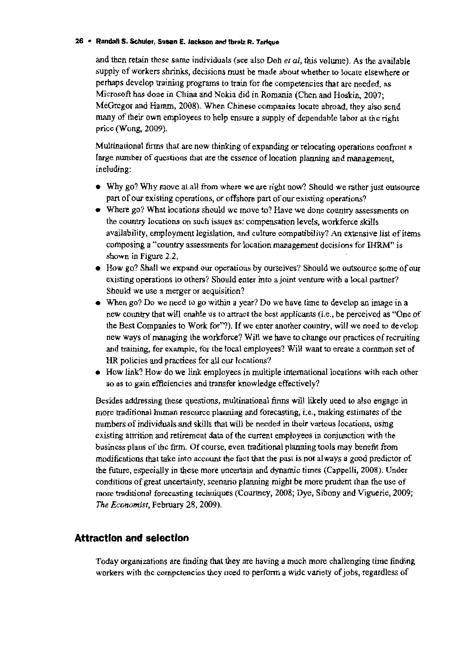#### 26 **• Randall** S. SchUler, **SIl&fHl E, Jaclu;on and 1bl'9Iz R. rartque**

and then retain these same individuals (see also Doh *et al*, this volume). As the available supply of workers shrinks, decisions must be made about whether to locate elsewhere or perhaps develop training programs to train for the competencies that are needed, as Miccowft has done in China and Nokia did in Romania (Chen and Hoskin, 2007; MeGregor and Hamm, 2008). When Chinese companies locate abroad, they also send many of their own employees to help ensure a supply of dependable labor at the right  $price$  (Wong, 2009).

Multinational firms that are now thinking of expanding or relocating operations confront a large number of questions that are the essence of location planning and management, including:

- Why go? Why move at all from where we are right now? Should we rather just outsource part of our existing operations, or offshore part of our existing operations?
- Where go? What locations should we move to? Have we done country assessments on the country locations on such issues as: compensation levels, workforce skills availability, employment legislation, and culture compatibility? An extensive list of items composing a "country assessments for location management decisions for IHRM" is shown in Figure  $2.2$ .
- How go? Shall we expand our operations by ourselves? Should we outsource some of our existing operations to others? Should enter into a joint venture with a local partner? Should we use a merger or aequisition?
- When go? Do we need to go within a year? Do we have time to develop an image in a new country that will enable us to attract the best applicants (i.e., be perceived as "One of the Best Companies to Work for"?). If we enter another country, will we need to develop new ways of managing the workforce? Will we have to change our practices of recruiting and training. for example, for the local employees? Win want to create a cornmon set of HR policies and practices for all our locations?
- How link? How do we link employees in multiple international locations with each other so as to gain efficiencies and transfer knowledge effectively?

Besides addressing these questions, multinational firms will likely ueed to also engage in more traditional human resource planning and forecasting, i.e., mak:ing estimates of the numbers of tndividuals and skills that will be needed in their various locations, using existing attrition and retirement data of the current employees in conjunction with the business plans of the firm. Of course, even traditional planning tools may benefit from modifications that take into account the fact that the past is not always a good predictor of the future, espeeially in these more uncertain and dynamic times (Cappelli, 2008). Under conditions of great uncertainty, scenario pianning might be more prudent than thc use of more traditional forecasting techniques (Courtncy. 2008; Dye, Sibony and Vigueric, 2009; *The Economist*, February 28, 2009).

### Attraction and selection

Today organizatioos are finding that they are having a much more challenging time finding workers with the competencies they need to perform a wide variety of jobs, regardless of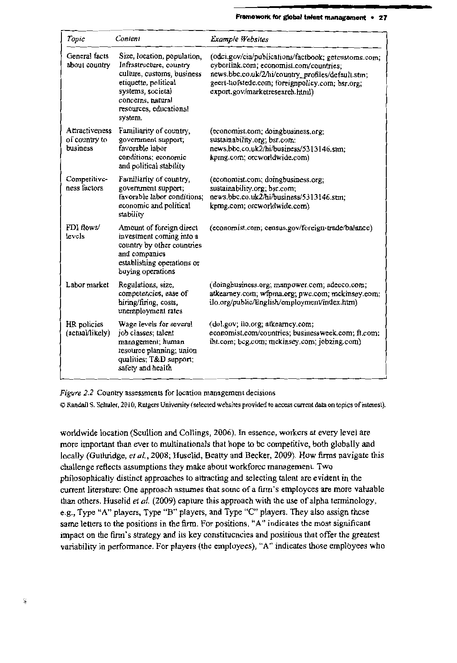| Topic                                       | Content                                                                                                                                                                                     | Example Websites                                                                                                                                                                                                                           |
|---------------------------------------------|---------------------------------------------------------------------------------------------------------------------------------------------------------------------------------------------|--------------------------------------------------------------------------------------------------------------------------------------------------------------------------------------------------------------------------------------------|
| General facts<br>about country              | Size, location, population,<br>Infrastructure, country<br>culture, customs, business<br>etiquette, political<br>systems, societal<br>concerns, natural<br>resources, educational<br>system. | (odci.gov/cia/publications/factbook; getcustoms.com;<br>cyborlink.com; economist.com/countries;<br>news.bbc.co.uk/2/hi/country_profiles/default.stm;<br>geert-hofstede.com; foreignpolicy.com; bsr.org;<br>export.gov/marketreseareh.html) |
| Attractiveness<br>of country to<br>business | Familiarity of country,<br>government support;<br>favorable labor<br>conditions; economic<br>and political stability                                                                        | (economist.com; doingbusiness.org;<br>sustainability.org; bsr.com;<br>news.bbc.co.uk2/hi/business/5313146.stm;<br>kpmg.com; orcworldwide.com)                                                                                              |
| Competitive-<br>ness factors                | Familiarity of country,<br>government support;<br>favorable labor conditions;<br>economic and political<br>stability                                                                        | (economist.com; doingbusiness.org;<br>sustainability.org; bsr.com;<br>news.bbc.co.uk2/hi/business/5313146.stm;<br>kpmg.com; orcworldwide.com)                                                                                              |
| FDI flows/<br>levels                        | Amount of foreign direct<br>investment coming mto a<br>country by other countries<br>and companies<br>establishing operations or<br>buying operations                                       | (economist.com; census.gov/foreign-trade/balance)                                                                                                                                                                                          |
| Labor market                                | Regulations, size,<br>competencies, ease of<br>hiring/fining, costs,<br>unemployment rates                                                                                                  | (doingbusiness.org; manpower.com; adecco.com;<br>atkearney.com; wfpma.org; pwc.com; mckmsey.com;<br>ilo.org/public/English/employment/index.htm)                                                                                           |
| HR policies<br>(actual/likely)              | Wage levels for several<br>job classes; talent<br>management; human<br>resource planning; union<br>qualities; T&D support;<br>safety and health                                             | (dol.gov; ilo.org; atkearney.com;<br>economist.com/countries; businessweek.com; ft.com;<br>iht.com; beg.com; mckinsey.com; jobzing.com)                                                                                                    |

Figure 2.2 Country assessments for location management decisions

C Randall S. Schuler, 2010, Rutgers University (selected websites provided to access current data on topics of interest).

worldwide location (Scullion and Collings, 2006). In essence, workers at every level are more important than ever to multinationals that hope to bc competitive, both globally and locally (Guthridge, et al., 2008; Huselid, Beatty and Becker, 2009). How firms navigate this challenge reflects assumptions they make about workforce management. Two philosophically distinct approaches to attracting and selecting talent are evident in the current literature: One approach assumes that some of a firm's employees are more valuable than others. Huselid et al. (2009) capture this approach with the use of alpha terminology, e.g., Type "A" players, Type "B" players, and Type "C" players. They also assign these same letters to the positions in the firm. For positions, "A" indicates the most significant impact on the firm's strategy and its key constituencies and positious that offer the greatest variability in performance. For players (the employees), "A" indicates those employees who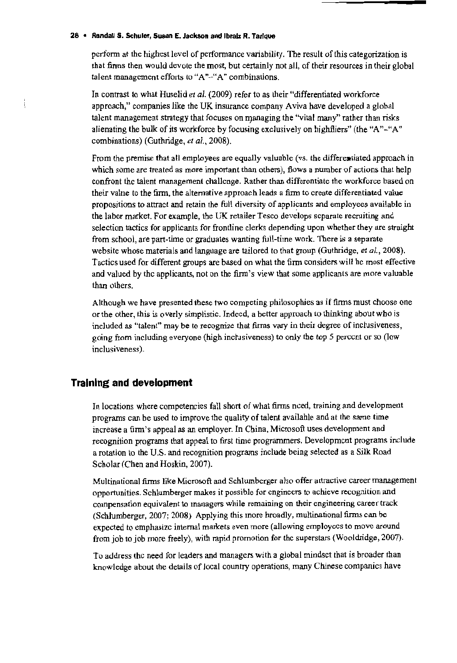#### 28 • Randall S. Schuler, Susan E. Jackson and Ibraiz R. Tarloue

perform at the highest level of performance variability. The result of this categorization is that firms then would devote the most, but certainly not all, of their resources in their global talent management efforts to "A"-"A" combinations.

In contrast to what Huselid et al. (2009) refer to as their "differentiated workforce approach," companies like the UK insurance company Aviva have developed a global talent management strategy that focuses on managing the "vital many" rather than risks alienating the bulk of its workforce by focusing exclusively on highfliers" (the "A"-"A" combinations) (Guthridge, et al., 2008).

From the premise that all employees are equally valuable (vs. the differentiated approach in which some are treated as more important than others), flows a number of actions that help confront the talent management challenge. Rather than differentiate the workforce based on their value to the firm, the alternative approach leads a firm to create differentiated value propositions to attract and retain the full diversity of applicants and employees available in the labor market. For example, the UK retailer Tesco develops scparate recruiting and selection tactics for applicants for frontline clerks depending upon whether they are straight from school, are part-time or graduates wanting full-time work. There is a separate website whose materials and language are tailored to that group (Guthridge, et al., 2008). Tactics used for different groups are based on what the firm considers will be most effective and valued by the applicants, not on the firm's view that some applicants are more valuable than others.

Although we have presented these two competing philosophies as if firms must choose one or the other, this is overly simplistic. Indeed, a better approach to thinking about who is included as "talent" may be to recognize that firms vary in their degree of inclusiveness, going from including everyone (high inclusiveness) to only the top 5 percent or so (low inclusiveness).

#### **Training and development**

In locations where competencies fall short of what firms nced, training and development programs can be used to improve the quality of talent available and at the same time increase a firm's appeal as an employer. In China, Microsoft uses development and recognition programs that appeal to first time programmers. Development programs include a rotation to the U.S. and recognition programs include being selected as a Silk Road Scholar (Chen and Hoskin, 2007).

Multinational firms like Microsoft and Schlumberger also offer attractive career management opportunities. Schlumberger makes it possible for cngineers to achieve recognition and compensation equivalent to managers while remaining on their engineering career track (Schlumberger, 2007; 2008). Applying this more hroadly, multinational firms can be expected to emphasize internal markets even more (allowing employees to move around from job to job more freely), with rapid promotion for the superstars (Wooldridge, 2007).

To address the need for leaders and managers with a global mindset that is broader than knowledge about the details of local country operations, many Chinese companics have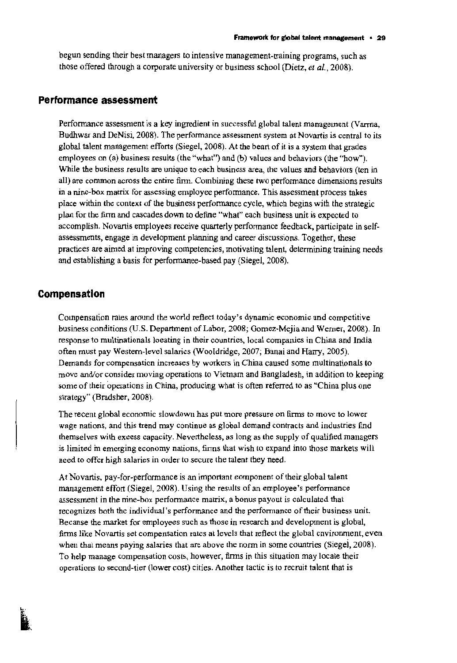begun sending their best managers to intensive management-training programs, such as those offered through a corporate university or business school (Dietz, et al., 2008).

#### **Performance assessment**

Performance assessment is a key ingredient in successful global talent management (Varma, Budhwar and DeNisi, 2008). The performance assessment system at Novartis is central to its global talent management efforts (Siegel, 2008). At the beart of it is a system that grades employees on (a) business results (the "wbat") and (b) values and behaviors (the "how"), While the business results are unique to each business area, the values and behaviors (ten in all) are common across the entire firm. Combining these two performance dimensions results in a nine-box matrix for assessing employee performance. This assessment process takes place within the context of the business perfonnance cycle, whicb begins with the strategic plan for the firm and cascades down to define "What" each business unit is expected to accomplish. Novartis employees receive quarterly performance feedback, participate in selfassessments, engage in devcJopment planning and career discussions. Together, these practices are aimed at improving competencies, motivating talent, determining training needs and establishing a basis for performanee-based pay (Siegel, 2008).

#### **Compensation**

Compensation rates around the world reflect today's dynamic economic and competitive business conditions (U.S. Department of Labor, 2008; Gomez-Mejia and Werner, 2008). In response to multinationals locating in their countries, local companies in China and India. often must pay Western-level salaries (Wooldridge, 2007; Banai and Harry, 2005). Demands for compensation increases by workers in China caused some multinationals to move and/or consider moving operations to Vietnam and Bangladesh, in addition to keeping some of their operations in China, producing what is often referred to as ''China plus one strategy" (Bradsher, 2008).

The recent global economic slowdown has put more pressure on firms to move to lower wage nations, and this trend may continue as global demand contracts and industries find themselves with excess capacity. Nevertheless, as long as the supply of qualified managers is limited in emerging economy nations, firms that wish to expand into those markets will need to offer high salaries in order to secure the talent they need.

At Novartis, pay-for-performance is an important component of their global talent mauagement effort (Siegel, 2008). Using the results of an employee's performance assessment in the mine-box performance matrix, a bonus payout is calculated that recognizes both the individual's performance and the performance of their business unit. Because the market for employees such as those in research and development is global, firms like Novartis set compensation rates at levels that reflect the global cnvironment, even when that means paying salaries that are above the norm in some countries (Siegel, 2008). To help manage compensation costs, however, firms in this situation may locate their operations to second-tier (lower cost) cities. Another tactic is to recruit talent that is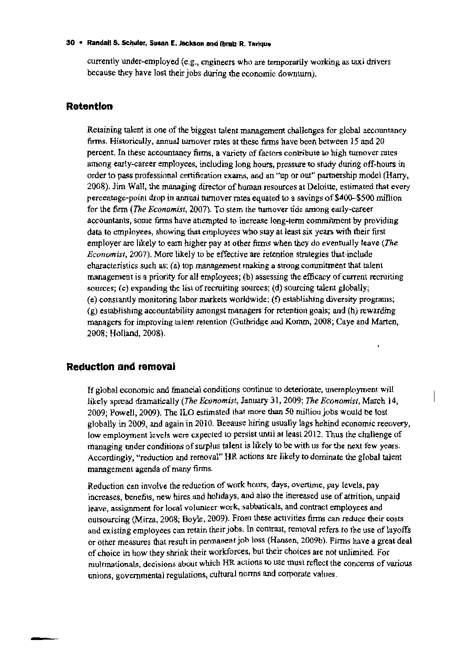#### 30 • Randail S. Schuler, Susan E. Jackson and ibraiz R. Tarloue

currently under-employed (e.g., engineers who are temporarily working as taxi drivers because they have lost their jobs during the economic downturn).

#### Retention

Retaining talent is one of the biggest talent management challenges for global accountancy firms. Historically, annual turnover rates at these firms have been between 15 and 20 percent. In these accountancy firms, a variety of factors contribute to high turnover rates among early-career employees, including long hours, pressure to study during off-hours in order to pass professional certification exams, and an "up or out" partnership model (Harry, 2008). Jim Wall, the managing director of human resources at Deloitte, estimated that every percentage-point drop in annual turnover rates equated to a savings of \$400–\$500 million for the firm (The Economist, 2007). To stem the turnover tide among early-career accountants, some firms have attempted to increase long-term commitment by providing data to employees, showing that employees who stay at least six years with their first employer are likely to earn higher pay at other firms when they do eventually leave (The Economist, 2007). More likely to be effective are retention strategies that include eharacteristics such as: (a) top management making a strong commitment that talent management is a priority for all employees; (b) assessing the efficacy of current recruiting sources; (c) expanding the list of recruiting sources; (d) sourcing talent globally; (e) constantly monitoring labor markets worldwide; (f) establishing diversity programs; (g) establishing accountability amongst managers for retention goals; and (h) rewarding managers for improving talent retention (Guthridge and Komm, 2008; Caye and Marten, 2008; Holland, 2008).

#### **Reduction and removal**

If global economic and financial conditions continue to deteriorate, unemployment will likely spread dramatically (The Economist, January 31, 2009; The Economist, March 14, 2009; Powell, 2009). The ILO estimated that more than 50 million jobs would be lost globally in 2009, and again in 2010. Beeause hiring usually lags hehind economic reeovery, low employment levels were cxpected to persist until at least 2012. Thus the challenge of managing under conditions of surplus talent is likely to be with us for the next few years. Accordingly, "reduction and removal" HR actions are likely to dominate the global talent management agenda of many firms.

Reduction can involve the reduction of work hours, days, overtime, pay levels. pay increases, benefits, new hires and holidays, and also the increased use of attrition, unpaid leave, assignment for local volunteer work, sabbaticals, and contract employees and outsourcing (Mirza, 2008; Boyle, 2009). From these activities firms can reduce their costs and existing employees can retain their jobs. In contrast, removal refers to the use of layoffs or other measures that result in permanent job loss (Hansen, 2009b). Firms have a great deal of choice in how they shrink their workforces, but their choices are not unlimited. For multinationals, decisions about which HR actions to use must reflect the concerns of various unions, governmental regulations, cultural norms and corporate values.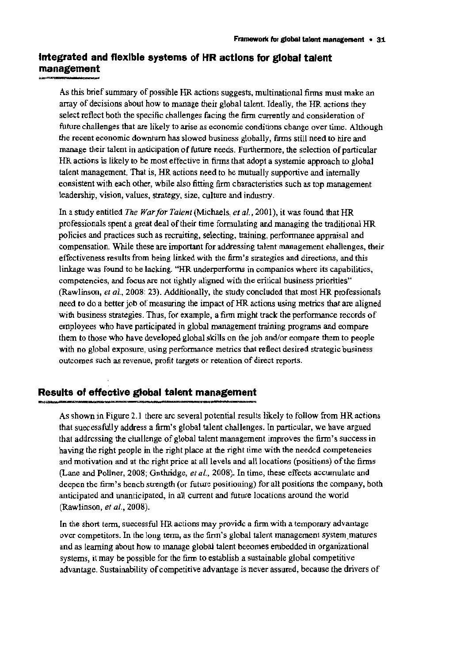# Integrated and flexible systems of HR actions for globel talent management

As this brief summary of possible HR actions suggests, multinational finns must make an array of decisions about how to manage their global talent. Ideally, the HR actions they select reflect both the specific challenges facing the firm currently and consideration of future challenges that are likely to arise as economic conditions change over time. Although the recent economic downturn has slowed business globally, firms still need to hire and manage their talent in anticipatioo of future needs. Furthermore, the selection of particular HR actions is likely to be most effective in firms that adopt a systemie approach to global talent management. That is, HR actions need to be mutually supportive and internally eonsistent with each other, while also fitting firm characteristies such as top management leadership, vision, values, strategy, size, culture and industry.

In a study entitied *The War/or 1'alent* (Michaels. *eta!.,* 2001), it was found that HR professionals spent a great deal of their time formulating and managing tbe traditional HR policies and practices such as recruiting, selecting, training, performance appraisal and compensation. While these are important for addressing talent management ehallenges, their effectiveness results from being linked with the firm's strategies and directions, and this linkage was found to be Jacking. "HR underperforms in companies where its capabililies, competencies, and focus are not tightly aligned with the eritical business priorities" (Rawlinson, *et aL,* 2008: 23). Additionally, the study cooc[uded that most HR professionals need to do a better job of measuring the impact of HR actions using metrics that are aligned with business strategies. Thus, for example, a finn might track the perfonnance reeords of employees who have participated in global management training programs and eompare them to those who have developed global skills on the job and/or eompare them to people with no global exposure, using performance metrics that reflect desired strategic business outcomes such as revenue, profit targets or retention of direct reports.

# Results of effective global talent management

As shown in Figure 2.1 there arc several potential results likely to follow from HR actions that successfully address a firm's global talent challenges. In particular, we have argued that addressing the challenge ofglobal talent management improves the firm's success in having the right people in the right place at the right time with the needed competeneies and motivation and at the right price at all levels and all locations (positions) of the firms (Lane and PoUner, 2008; Gnthridge, *at al\_,* 2008).10 time, these effeets accumulate and deepen tbe fum's bencb strength (or future positioning) for all positions the company. both anticipated and unanticipated, in all current and future locations around the world (Rawlinson, *at ai., 2008).* 

In the short term, successful HR actions may provide a firm with a temporary advantage over competitors. In the long term, as the firm's global talent management system matures and as learning about how to manage global talent becomes embedded in organizational systems, it may be possible for the firm to establish a sustainable global competitive advantage. Sustainability of competitive advantage is never assured, because the drivers of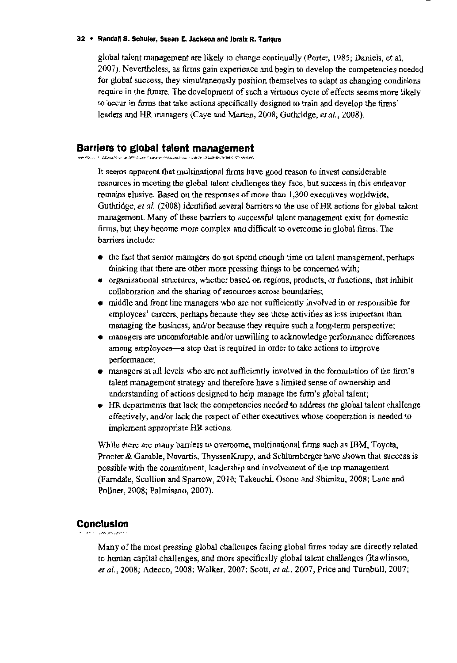#### 32 • Randall S. Schuler, Susan E. Jackson and Ibraix R. Tarique

global talent management are likely to change continually (Porter, t98S; Daniels, et ai, 2007). Nevertheless, as firms gain experience and begin 10 develop the competencies needed for global success, they simultaneously position themselves to adapt as changing conditions require in the future. The development of such a virtuous cycle of effects seems more likely to occur in firms that take actions specifically designed to train and develop the firms' leaders and HR managers (Caye and Marten, 2008; Guthridge, *er aL, 2008).* 

# Barriers to global talent management

It seems apparent that multinational firms have good reason to invest considerable resources in meeting the global talent challenges they face, but success in this endeavor remains elusive. Based on the responses of more than  $1,300$  executives worldwide, Guthridge, et al. (2008) identified several barriers to the use of HR actions for global talent management. Many of these barriers to successful talent management exist for domestic firms, but they become more complex and difficult to overcome in global firms. The barriers include:

- the fact that senior managers do not spend cnough time on talent management, perhaps thinking that there are other more pressing things to be concerned with;
- organizational structures, whether based on regions, products, or functions, that inhibit collaboration and the sharing of resources across boundaries;
- middle and front line managers wbo are not sufficiently involved in or responsible for employees' eareers, perhaps because they see these activities as less important than managing the business, and/or because they require such a long-term perspective;
- managers are uncomfortable and/or unwilling to acknowledge performance differences among employces—a step that is required in order to take actions to improve performance;
- managers at all levels who are not sufficiently involved in the formulation of the firm's talent management strategy and therefore have a limited sense of ownenmip and understanding of actions designed to help manage the fum's global talent;
- $\bullet$  HR departments that lack the competencies needed to address the global talent challenge effectivety. and/or jack the respect of other executives whose cooperation is needed to implement appropriate HR actions.

While there are many barriers to overcome, multinational firms such as IBM, Toyota. Procter  $\&$  Gamble, Novartis, Thyssen Krupp, and Schlumberger have shown that success is possible with the commitment, leadership and involvement of the top management (Farndale, Scullion and Sparrow, 2010; Takeuchi, Osono and Shirnizu, 2008; Lane and Pollner, 2008; Palmisano, 200?).

#### Conclusion

.<br>Malai wa Tanzania

Many of the most pressing global challenges facing global firms today are directly related to human capital challenges, and more specifically global talent challenges (Rawlinson, *et al.*, 2008; Adecco, 2008; Walker, 2007; Scott, et al., 2007; Price and Turnbull, 2007;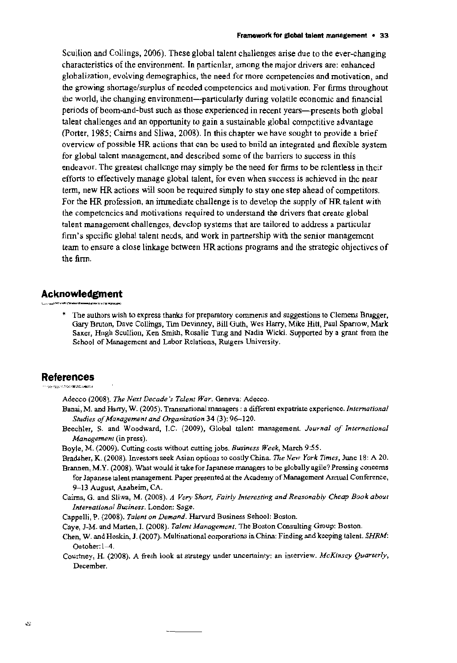Scullion and Collings, 2006). These global talent challenges arise due to the ever-changing characteristics of the environment. In particular, among the major drivers are: enhanced globalization, evolving demographics, the need for more competencies and motivation, and the growing shortage/surplus of needed competencies and motivation. For firms throughout the world, ihe changing environment-panicularly during volatile economic and financial periods of boom-and-bust such as those experienced in recent years-presents both global talent challenges and an opportunity to gain a sustainable global competitive advantage (Porter, 1985; Cairns and Sliwa, 2008), In this chapter we have sought to provide a brief overview of possible HR actions that can be used to bnild an integrated and flexible system for global talent management, and described some of the barriers to success in this endeavor. The greatest challenge may simply be the need for firms to be relentless in their efforts to effectively manage global talent, fot even when success is achievcd in thc near term, new HR actions will soon be required simply to stay one step ahead of competitors. For the HR profession, an immediate challenge is to develop the supply of HR talent with the competencics and motivations required to understand the drivers that create global talent management challenges, develop systems that are tailored to address a particular firm's specific glohal talent needs, and work in partnership with the senior management team to ensure a close linkage between HR actions programs and the strategic objectives of the finn.

#### Acknowledgment

\* The authors wish to express thanks for preparatory comments and suggestions to Clemens Brugger, Gary Bruton, Dave Collings, Tim Devinney, Bill Guth, Wes Harry, Mike Hitt, Paul Sparrow, Mark Saxer, Hngh Scullion, Ken Smith, Rosalie Tung and Nadia Wicki. Supported by a grant from the School of Management and Labor Relations, Rutgers University.

# References

Adecco (2008). The *Next Decade's Talent War*. Geneva: Adecco.

- Banai, M. and Harry, W. (2005). Transnational managers : a different expatriate experience. International *Studies oj"MaMgemenf and Organization* 34 (3): 96-120.
- Beechler, S. and Woodward, I.C. (2009), Global talent management. Journal of International *Management* (in press).
- Boyle, M. (2009). Cutting C05ts whhout cutting jobs, *Business Week,* March 9:55.
- Bradsher, K. (2008). Investors seek Asian options to costly China. *The New York Times*, June 18: A 20.
- Brannen, M.Y. (2008). What would it take for Japanese managers to be globally agile? Pressing concerns for Japanese talent management. Paper presented at the Academy of Management Annual Conference, 9-13 August, Anaheim, CA.
- Cairns, G. and Sliwa, M. (2008). *A Very Short, Fairly Interesting and Reasonably Cheap Book about International Business*. London: Sage.
- Cappelli, P. (2008). *Talent on Demand*. Harvard Business Sehool: Boston.
- Caye, J-M. and Marten, I. (2008). *Talent Management*. The Boston Consulting Group: Boston.
- Chen, W. and Hoskin, J. (2007). Multinational eorporations in China: Finding and keeping talent. SHRM: Oetoher:  $1 - 4$ .
- Courtney, H. (2008). A fresh look at strategy under uncertainty: an interview. *McKinsey Quarterly*, December.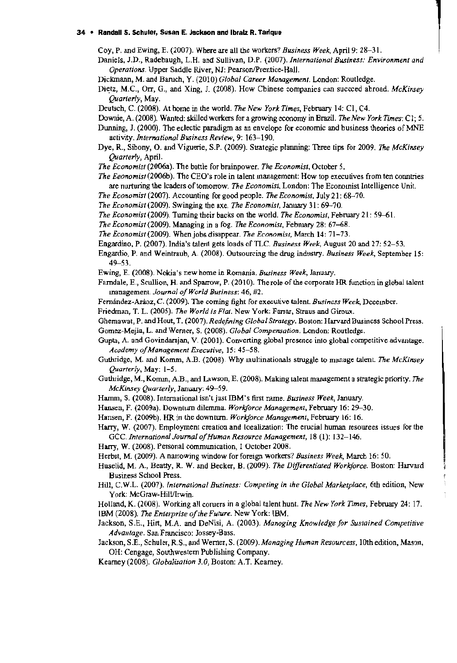#### 34 • Randall S. Schuler, Susan E. Jackson and Ibraiz R. Tarique

Coy, P. and Ewing, E. (2007). Where are all the workers? Business Week, April 9: 28-31.

- Daniels, J.D., Radebaugh, L.H. and Sullivan, D.P. (2007). International Business: Environment and Operations. Upper Saddle River, NJ: Pearson/Prentice-Hall.
- Dickmann, M. and Baruch, Y. (2010) Global Career Management. London: Routledge.
- Dietz, M.C., Orr, G., and Xing, J. (2008). How Chinese companies can succeed abroad. McKinsey Quarterly, May.
- Deutsch, C. (2008). At home in the world. The New York Times, February 14: C1, C4.
- Downie, A. (2008). Wanted: skilled workers for a growing economy in Brazil. The New York Times: C1; 5.
- Dunning, J. (2000). The eclectic paradigm as an envelope for economic and business theories of MNE activity. International Business Review, 9: 163-190.
- Dye, R., Sibony, O. and Viguerie, S.P. (2009). Strategic planning: Three tips for 2009. The McKinsey Quarterly, April.
- The Economist (2006a). The battle for brainpower. The Economist, October 5,
- The Eeonomist (2006b). The CEO's role in talent inanagement: How top executives from ten conntries are nurturing the leaders of tomorrow. The Economist, London: The Economist Intelligence Unit.
- The Economist (2007). Accounting for good people. The Economist, July 21: 68-70.
- The Economist (2009). Swinging the axe. The Economist, January 31: 69-70.
- The Economist (2009). Turning their backs on the world. The Economist, February 21: 59-61.
- The Economist (2009). Managing in a fog. The Economist, February 28: 67-68.
- The Economist (2009). When jobs disappear. The Economist, March 14: 71-73.
- Engardino, P. (2007). India's talent gets loads of TLC. Business Week, August 20 and 27: 52-53.
- Engardio, P. and Weintraub, A. (2008). Outsourcing the drug industry. Business Week, September 15:  $49 - 53$ .
- Ewing, E. (2008). Nokia's new home in Romania. Business Week, January.
- Famdale, E., Scullion, H. and Sparrow, P. (2010). The role of the corporate HR function in global talent management. Journal of World Business: 46, #2.
- Fernández-Araoz, C. (2009). The coming fight for executive talent. Business Week, Dceember.
- Friedman, T. L. (2005). The World is Flat. New York: Farrar, Straus and Giroux.
- Ghemawat, P. and Hout, T. (2007). Redefining Global Strategy. Boston: Harvard Business School Press.
- Gomez-Mejia, L. and Werner, S. (2008). Global Compensation. London: Routledge.
- Gupta, A. and Govindarajan, V. (2001). Converting global presence into global competitive advantage. Academy of Management Executive, 15: 45-58.
- Guthridge, M. and Komm, A.B. (2008). Why inultinationals struggle to manage talent. The McKinsey Quarterly, May: 1-5.
- Guthridge, M., Komin, A.B., and Lawson, E. (2008). Making talent management a strategic priority. The McKinsey Quarterly, January: 49-59.
- Hamm, S. (2008). International isn't just IBM's first name. Business Week, January.
- Hansen, F. (2009a). Downturn dilemma. Workforce Management, February 16: 29-30.
- Hansen, F. (2009b). HR in the downturn. Worldforce Management, February 16: 16.
- Harry, W. (2007). Employment creation and localization: The erucial human resources issues for the GCC. International Journal of Human Resource Management, 18 (1): 132-146.
- Harry, W. (2008). Personal communication, 1 October 2008.
- Herbst, M. (2009). A narrowing window for foreign workers? Business Week, March 16: 50.
- Huselid, M. A., Beatty, R. W. and Becker, B. (2009). The Differentiated Workforce. Boston: Harvard **Business School Press.**
- Hill, C.W.L. (2007). International Business: Competing in the Global Marketplace, 6th edition, New York: McGraw-Hill/Irwin.
- Holland, K. (2008). Working all coruers in a global talent hunt. The New York Times, February 24: 17. IBM (2008). The Enterprise of the Future. New York: IBM.
- Jackson, S.E., Hirt, M.A. and DeNisi, A. (2003). Manoging Knowledge for Sustained Competitive Advantage. San Francisco: Jossey-Bass.
- Jackson, S.E., Schuler, R.S., and Werner, S. (2009). Managing Human Resourcess, 10th edition, Mason, OH: Cengage, Southwestern Publishing Company.
- Kearney (2008). Globalization 3.0, Boston: A.T. Kearney.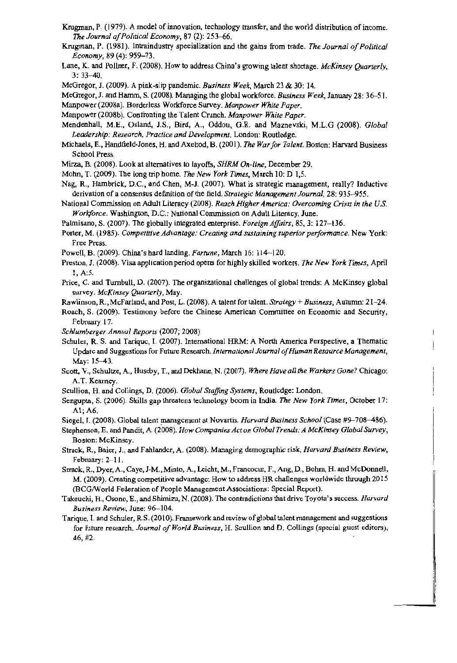- Krugman, P. (1979). A model of innovation, technology transfer, and the world distribution of income. The Journal af Political Economy, 87 (2): 253-66.
- Krugman, P. (1981). Intraindustry specialization and the gains from trade. The Journal of Political Есопоту, 89 (4): 959-73.
- Lane, K. and Pollner, F. (2008). How to address China's growing talent shortage. McKinsey Quarterly,  $3:33 - 40.$
- McGregor, J. (2009). A pink-slip pandemic. Business Week, March 23 & 30: 14.

MeGregor, J. and Hamm, S. (2008). Managing the global workforce. Business Week, January 28: 36-51.

- Manpower (2008a). Borderless Workforce Survey. Manpower White Paper.
- Manpower (2008b). Confronting the Talent Crunch. Manpower White Paper.
- Mendenhall, M.E., Osland, J.S., Bird, A., Oddou, G.R. and Maznevski, M.L.G (2008). Global Leadership: Research, Practice and Development. London: Routledge.
- Michaels, E., Handfield-Jones, H. and Axelrod, B. (2001). The War for Talent. Boston: Harvard Business School Press.
- Mirza, B. (2008). Look at alternatives to layoffs, SHRM On-line, December 29.
- Mohn, T. (2009). The long trip home. The New York Times, March 10: D 1,5.
- Nag, R., Hambrick, D.C., and Chen, M-J. (2007). What is strategic management, really? Inductive derivation of a consensus definition of the field. Strategic Management Journal, 28: 935-955.
- National Commission on Adult Literacy (2008). Reach Higher America: Overcoming Crisis in the U.S. Workforce. Washington, D.C.: National Commission on Adult Literacy, June.
- Palmisano, S. (2007). The globally integrated enterprise. Foreign Affairs, 85, 3: 127-136.
- Porter, M. (1985). Competitive Advantage: Creating and sustaining superior performance. New York: Free Press.
- Powell, B. (2009). China's hard landing. Fartune, March 16: 114-120.
- Preston, J. (2008). Visa application period opens for highly skilled workers. The New York Times, April  $1, A:5.$
- Price, C. and Turnbull, D. (2007). The organizational challenges of global trends: A McKinsey global survey. McKinsey Quarterly, May.
- Rawlinson, R., McFarland, and Post, L. (2008). A talent for talent. Strategy + Business, Autumn: 21-24.
- Roach, S. (2009). Testimony before the Chinese American Committee on Economic and Security, February 17.
- Schlumberger Annual Reports (2007; 2008)
- Schuler, R. S. and Tarique, I. (2007). International HRM: A North America Perspective, a Thematic Update and Suggestions for Future Research. International Journal of Human Resaurce Management, May: 15-43.
- Scott, V., Schultze, A., Huseby, T., and Dekhane, N. (2007). Where Have all the Warkers Gone? Chicago: A.T. Kearney.
- Scullion, H. and Collings, D. (2006). Global Staffing Systems, Routledge: London.
- Sengupta, S. (2006). Skills gap threatens technology boom in India. The New York Times, October 17: A1; A6.
- Siegel, J. (2008). Global talent management at Novartis. Harvard Business School (Case #9-708-486).
- Stephenson, E. and Pandit, A. (2008). How Companies Act on Global Trends: A McKinsey Global Survey, Boston: McKinsey.
- Strack, R., Baier, J., and Fahlander, A. (2008). Managing demographic risk, Harvard Business Review, February: 2-11.
- Strack, R., Dyer, A., Caye, J-M., Minto, A., Leicht, M., Francocur, F., Ang, D., Bohm, H. and McDonnell, M. (2009). Creating competitive advantage: How to address HR challenges worldwide through 2015 (BCG/World Federation of People Management Associations: Special Report).
- Takeuchi, H., Osono, E., and Shimizu, N. (2008). The contradictions that drive Toyota's success. Harvard Business Review, June: 96-104.
- Tarique, I. and Schuler, R.S. (2010). Framework and review of global talent management and suggestions for future research. Journal of World Business, H. Scullion and D. Collings (special guest editors), 46, #2.